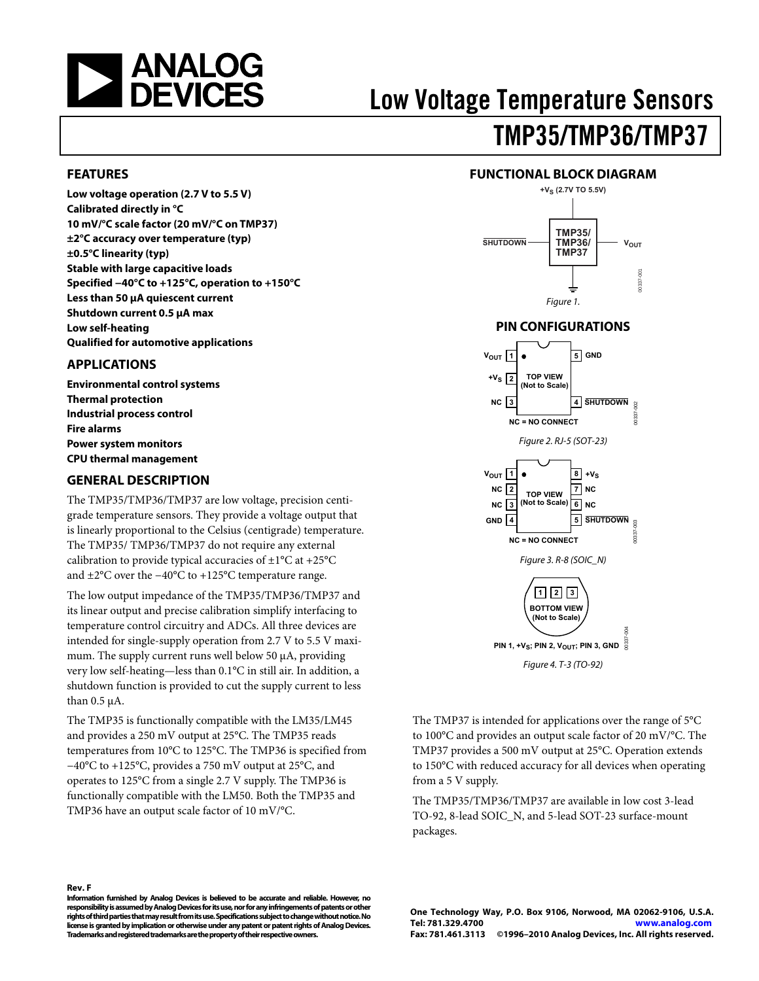<span id="page-0-0"></span>

# Low Voltage Temperature Sensors TMP35/TMP36/TMP37

#### **FEATURES**

**Low voltage operation (2.7 V to 5.5 V) Calibrated directly in °C 10 mV/°C scale factor (20 mV/°C on TMP37) ±2°C accuracy over temperature (typ) ±0.5°C linearity (typ) Stable with large capacitive loads Specified −40°C to +125°C, operation to +150°C Less than 50 μA quiescent current Shutdown current 0.5 μA max Low self-heating Qualified for automotive applications** 

#### **APPLICATIONS**

**Environmental control systems Thermal protection Industrial process control Fire alarms Power system monitors CPU thermal management** 

#### **GENERAL DESCRIPTION**

The TMP35/TMP36/TMP37 are low voltage, precision centigrade temperature sensors. They provide a voltage output that is linearly proportional to the Celsius (centigrade) temperature. The TMP35/ TMP36/TMP37 do not require any external calibration to provide typical accuracies of  $\pm 1^{\circ}$ C at  $+25^{\circ}$ C and ±2°C over the −40°C to +125°C temperature range.

The low output impedance of the TMP35/TMP36/TMP37 and its linear output and precise calibration simplify interfacing to temperature control circuitry and ADCs. All three devices are intended for single-supply operation from 2.7 V to 5.5 V maximum. The supply current runs well below 50 μA, providing very low self-heating—less than 0.1°C in still air. In addition, a shutdown function is provided to cut the supply current to less than 0.5 μA.

The TMP35 is functionally compatible with the LM35/LM45 and provides a 250 mV output at 25°C. The TMP35 reads temperatures from 10°C to 125°C. The TMP36 is specified from −40°C to +125°C, provides a 750 mV output at 25°C, and operates to 125°C from a single 2.7 V supply. The TMP36 is functionally compatible with the LM50. Both the TMP35 and TMP36 have an output scale factor of 10 mV/°C.





### **PIN CONFIGURATIONS**



The TMP37 is intended for applications over the range of 5°C to 100°C and provides an output scale factor of 20 mV/°C. The TMP37 provides a 500 mV output at 25°C. Operation extends to 150°C with reduced accuracy for all devices when operating from a 5 V supply.

The TMP35/TMP36/TMP37 are available in low cost 3-lead TO-92, 8-lead SOIC\_N, and 5-lead SOT-23 surface-mount packages.

#### **Rev. F**

**Information furnished by Analog Devices is believed to be accurate and reliable. However, no responsibility is assumed by Analog Devices for its use, nor for any infringements of patents or other rights of third parties that may result from its use. Specifications subject to change without notice. No license is granted by implication or otherwise under any patent or patent rights of Analog Devices. Trademarks and registered trademarks are the property of their respective owners.**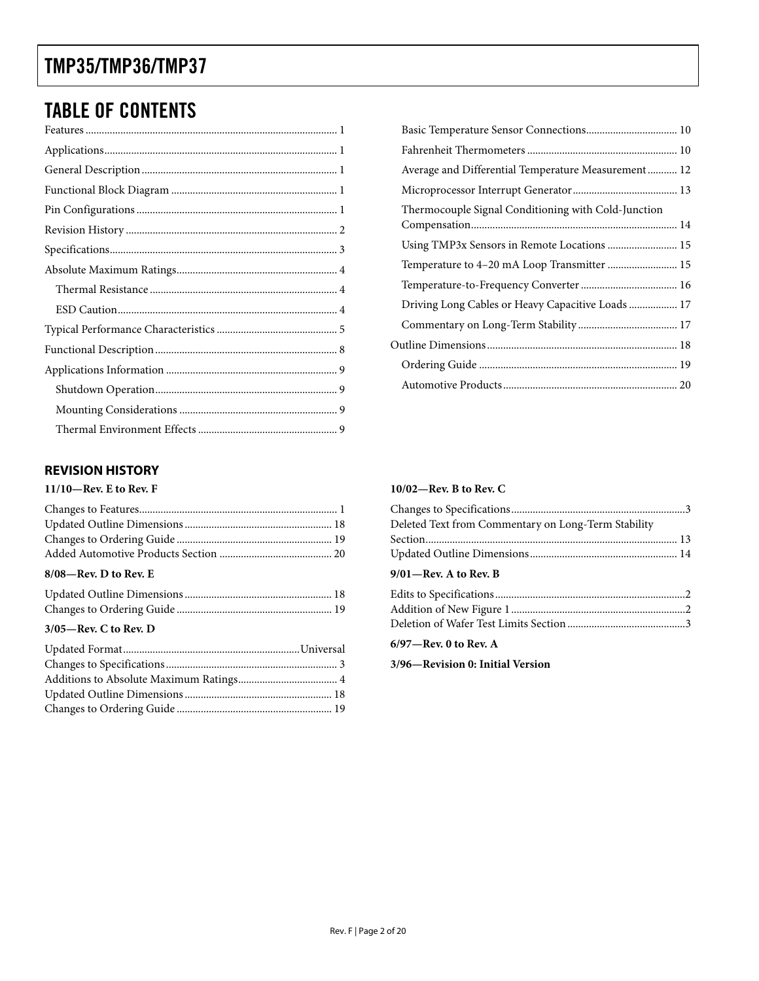### <span id="page-1-0"></span>TABLE OF CONTENTS

### **REVISION HISTORY**

#### **11/10—Rev. E to Rev. F**

| $R/0$ $R_{\text{ev}}$ D to $R_{\text{ev}}$ F |  |
|----------------------------------------------|--|

#### **8/08—Rev. D to Rev. E**

| ------ |  |
|--------|--|

#### **3/05—Rev. C to Rev. D**

| Average and Differential Temperature Measurement 12 |  |
|-----------------------------------------------------|--|
|                                                     |  |
| Thermocouple Signal Conditioning with Cold-Junction |  |
| Using TMP3x Sensors in Remote Locations  15         |  |
| Temperature to 4-20 mA Loop Transmitter  15         |  |
|                                                     |  |
| Driving Long Cables or Heavy Capacitive Loads 17    |  |
|                                                     |  |
|                                                     |  |
|                                                     |  |
|                                                     |  |

#### **10/02—Rev. B to Rev. C**

| Deleted Text from Commentary on Long-Term Stability |  |
|-----------------------------------------------------|--|
|                                                     |  |
|                                                     |  |
| 9/01-Rev. A to Rev. B                               |  |
|                                                     |  |
|                                                     |  |
|                                                     |  |

#### **6/97—Rev. 0 to Rev. A**

**3/96—Revision 0: Initial Version**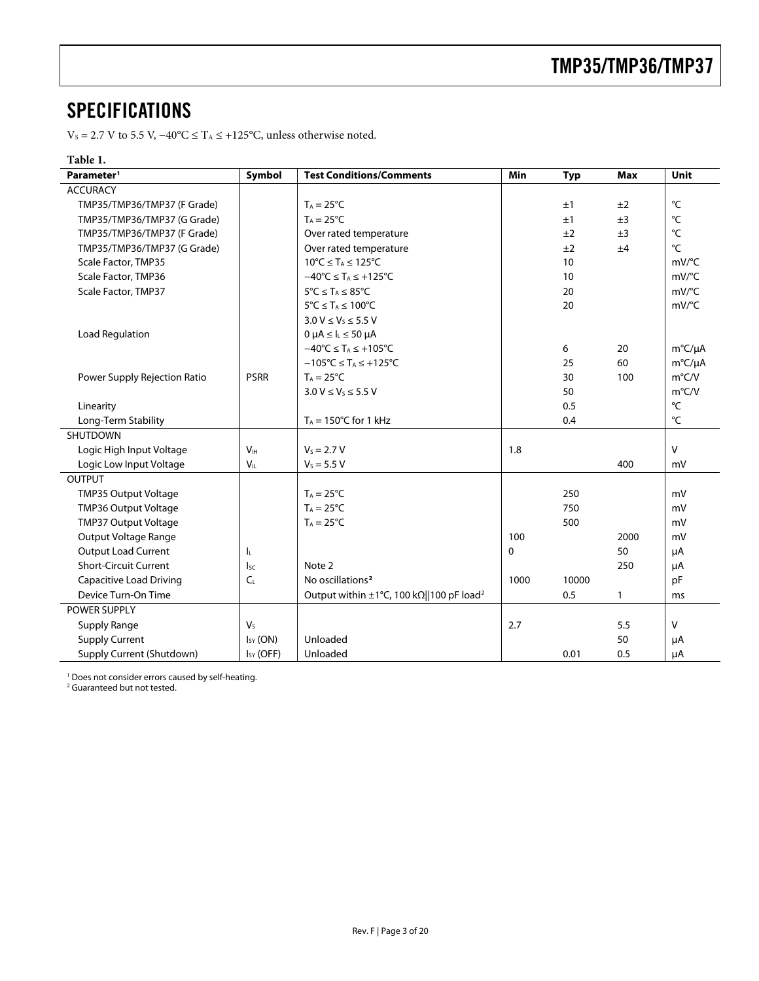### <span id="page-2-0"></span>**SPECIFICATIONS**

 $\rm V_S$  = 2.7 V to 5.5 V, −40°C ≤ T^A ≤ +125°C, unless otherwise noted.

### **Table 1.**

| Parameter <sup>1</sup>         | Symbol          | <b>Test Conditions/Comments</b>                                            | Min         | <b>Typ</b> | <b>Max</b>   | Unit                |
|--------------------------------|-----------------|----------------------------------------------------------------------------|-------------|------------|--------------|---------------------|
| <b>ACCURACY</b>                |                 |                                                                            |             |            |              |                     |
| TMP35/TMP36/TMP37 (F Grade)    |                 | $T_A = 25^{\circ}C$                                                        |             | ±1         | ±2           | °C                  |
| TMP35/TMP36/TMP37 (G Grade)    |                 | $T_A = 25^{\circ}C$                                                        |             | ±1         | ±3           | °C                  |
| TMP35/TMP36/TMP37 (F Grade)    |                 | Over rated temperature                                                     |             | ±2         | ±3           | °C                  |
| TMP35/TMP36/TMP37 (G Grade)    |                 | Over rated temperature                                                     |             | ±2         | ±4           | $^{\circ}$ C        |
| Scale Factor, TMP35            |                 | $10^{\circ}C \leq T_A \leq 125^{\circ}C$                                   |             | 10         |              | $mV$ <sup>o</sup> C |
| Scale Factor, TMP36            |                 | $-40^{\circ}$ C $\leq$ T <sub>A</sub> $\leq$ +125 $^{\circ}$ C             |             | 10         |              | $mV$ <sup>o</sup> C |
| Scale Factor, TMP37            |                 | $5^{\circ}$ C $\leq$ T <sub>A</sub> $\leq$ 85 $^{\circ}$ C                 |             | 20         |              | $mV$ <sup>o</sup> C |
|                                |                 | $5^{\circ}$ C $\leq$ T <sub>A</sub> $\leq$ 100 $^{\circ}$ C                |             | 20         |              | mV/°C               |
|                                |                 | $3.0 V \le V_5 \le 5.5 V$                                                  |             |            |              |                     |
| Load Regulation                |                 | $0 \mu A \leq I_L \leq 50 \mu A$                                           |             |            |              |                     |
|                                |                 | $-40^{\circ}$ C $\leq$ T <sub>A</sub> $\leq$ +105°C                        |             | 6          | 20           | $m^{\circ}C/\mu A$  |
|                                |                 | $-105^{\circ}$ C $\leq$ T <sub>A</sub> $\leq$ +125 $^{\circ}$ C            |             | 25         | 60           | m°C/µA              |
| Power Supply Rejection Ratio   | <b>PSRR</b>     | $T_A = 25^{\circ}C$                                                        |             | 30         | 100          | $m^{\circ}$ C/V     |
|                                |                 | $3.0 V \leq V_S \leq 5.5 V$                                                |             | 50         |              | $m^{\circ}$ C/V     |
| Linearity                      |                 |                                                                            |             | 0.5        |              | °C                  |
| Long-Term Stability            |                 | $T_A = 150^{\circ}$ C for 1 kHz                                            |             | 0.4        |              | $^{\circ}$ C        |
| SHUTDOWN                       |                 |                                                                            |             |            |              |                     |
| Logic High Input Voltage       | V <sub>IH</sub> | $V_s = 2.7 V$                                                              | 1.8         |            |              | $\vee$              |
| Logic Low Input Voltage        | $V_{II}$        | $V_S = 5.5 V$                                                              |             |            | 400          | mV                  |
| <b>OUTPUT</b>                  |                 |                                                                            |             |            |              |                     |
| <b>TMP35 Output Voltage</b>    |                 | $T_A = 25^{\circ}C$                                                        |             | 250        |              | mV                  |
| TMP36 Output Voltage           |                 | $T_A = 25^{\circ}C$                                                        |             | 750        |              | mV                  |
| TMP37 Output Voltage           |                 | $T_A = 25^{\circ}C$                                                        |             | 500        |              | mV                  |
| Output Voltage Range           |                 |                                                                            | 100         |            | 2000         | mV                  |
| Output Load Current            | ΙL.             |                                                                            | $\mathbf 0$ |            | 50           | μA                  |
| <b>Short-Circuit Current</b>   | I <sub>SC</sub> | Note 2                                                                     |             |            | 250          | μA                  |
| <b>Capacitive Load Driving</b> | $C_L$           | No oscillations <sup>2</sup>                                               | 1000        | 10000      |              | pF                  |
| Device Turn-On Time            |                 | Output within $\pm 1^{\circ}$ C, 100 k $\Omega$   100 pF load <sup>2</sup> |             | 0.5        | $\mathbf{1}$ | ms                  |
| POWER SUPPLY                   |                 |                                                                            |             |            |              |                     |
| <b>Supply Range</b>            | $V_{S}$         |                                                                            | 2.7         |            | 5.5          | $\mathsf{V}$        |
| <b>Supply Current</b>          | $I_{SY}$ (ON)   | Unloaded                                                                   |             |            | 50           | μA                  |
| Supply Current (Shutdown)      | $I_{SY}$ (OFF)  | Unloaded                                                                   |             | 0.01       | 0.5          | μA                  |

<span id="page-2-1"></span>1 Does not consider errors caused by self-heating. 2 Guaranteed but not tested.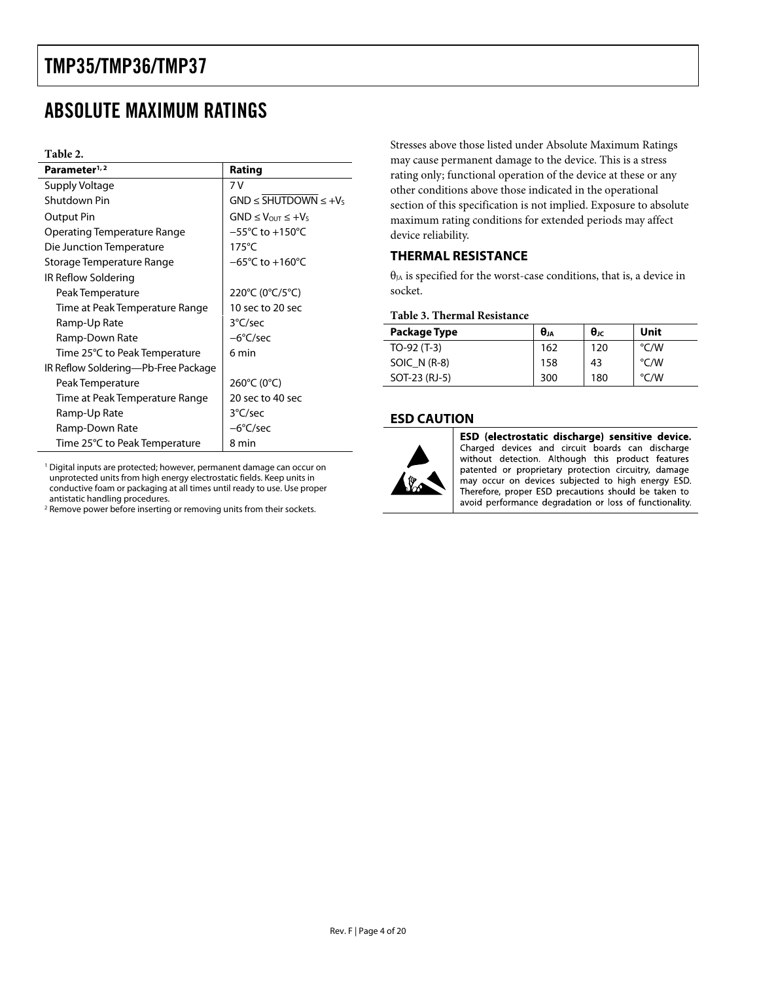# <span id="page-3-0"></span>ABSOLUTE MAXIMUM RATINGS

#### **Table 2.**

| Parameter <sup>1, 2</sup>           | Rating                                   |
|-------------------------------------|------------------------------------------|
| Supply Voltage                      | 7 V                                      |
| Shutdown Pin                        | $GND \leq \overline{SHUTDOWN} \leq +V_5$ |
| Output Pin                          | $GND \leq V_{OUT} \leq +V_5$             |
| Operating Temperature Range         | $-55^{\circ}$ C to $+150^{\circ}$ C      |
| Die Junction Temperature            | $175^{\circ}$ C                          |
| Storage Temperature Range           | $-65^{\circ}$ C to $+160^{\circ}$ C      |
| IR Reflow Soldering                 |                                          |
| Peak Temperature                    | 220°C (0°C/5°C)                          |
| Time at Peak Temperature Range      | 10 sec to 20 sec                         |
| Ramp-Up Rate                        | 3°C/sec                                  |
| Ramp-Down Rate                      | $-6^{\circ}$ C/sec                       |
| Time 25°C to Peak Temperature       | 6 min                                    |
| IR Reflow Soldering—Pb-Free Package |                                          |
| Peak Temperature                    | 260°C (0°C)                              |
| Time at Peak Temperature Range      | 20 sec to 40 sec                         |
| Ramp-Up Rate                        | 3°C/sec                                  |
| Ramp-Down Rate                      | $-6^{\circ}$ C/sec                       |
| Time 25°C to Peak Temperature       | 8 min                                    |

1 Digital inputs are protected; however, permanent damage can occur on unprotected units from high energy electrostatic fields. Keep units in conductive foam or packaging at all times until ready to use. Use proper antistatic handling procedures.

<sup>2</sup> Remove power before inserting or removing units from their sockets.

Stresses above those listed under Absolute Maximum Ratings may cause permanent damage to the device. This is a stress rating only; functional operation of the device at these or any other conditions above those indicated in the operational section of this specification is not implied. Exposure to absolute maximum rating conditions for extended periods may affect device reliability.

### **THERMAL RESISTANCE**

 $\theta_{JA}$  is specified for the worst-case conditions, that is, a device in socket.

#### **Table 3. Thermal Resistance**

| Package Type  | $\theta_{JA}$ | $\theta$ JC | Unit |
|---------------|---------------|-------------|------|
| $TO-92(T-3)$  | 162           | 120         | °C/W |
| SOIC $N(R-8)$ | 158           | 43          | °C/W |
| SOT-23 (RJ-5) | 300           | 180         | °C/W |

#### **ESD CAUTION**



ESD (electrostatic discharge) sensitive device. Charged devices and circuit boards can discharge without detection. Although this product features patented or proprietary protection circuitry, damage may occur on devices subjected to high energy ESD. Therefore, proper ESD precautions should be taken to avoid performance degradation or loss of functionality.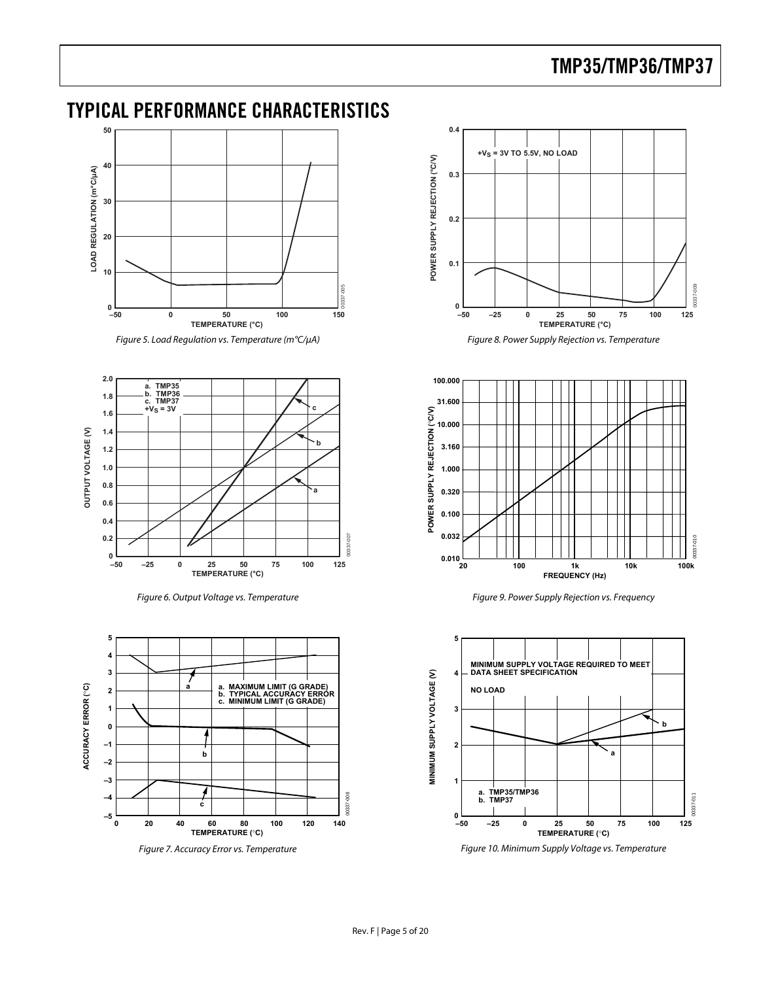### <span id="page-4-0"></span>TYPICAL PERFORMANCE CHARACTERISTICS



Figure 5. Load Regulation vs. Temperature (m°C/μA)



Figure 6. Output Voltage vs. Temperature



Figure 7. Accuracy Error vs. Temperature



Figure 8. Power Supply Rejection vs. Temperature



Figure 9. Power Supply Rejection vs. Frequency



Figure 10. Minimum Supply Voltage vs. Temperature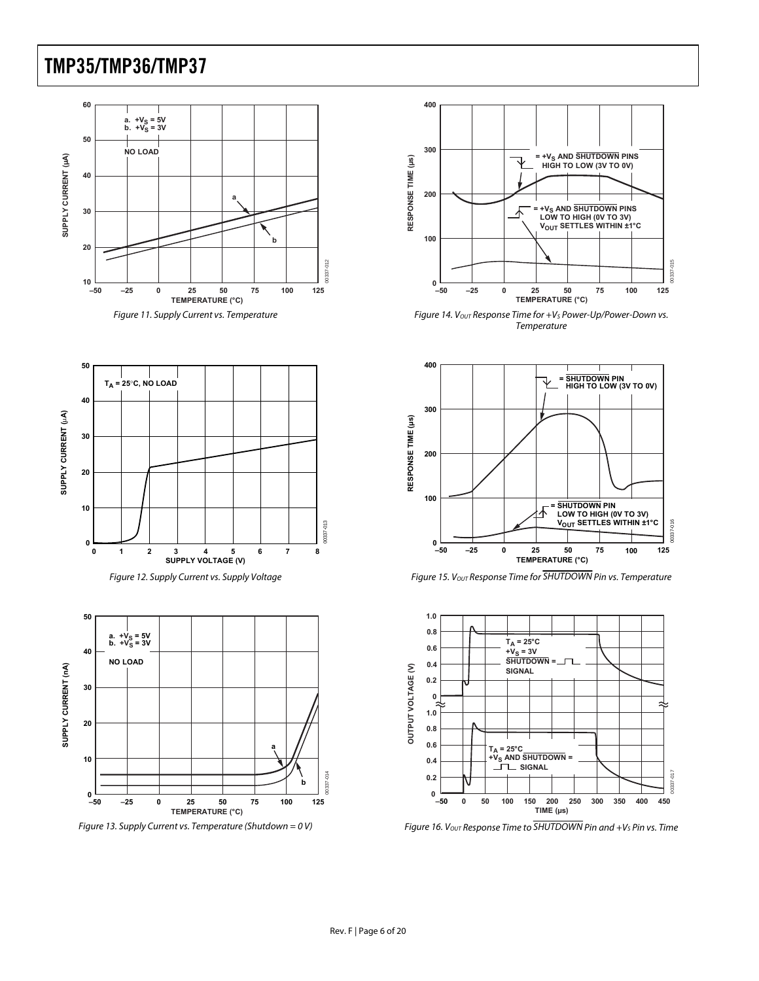



<span id="page-5-0"></span>



<span id="page-5-1"></span>

<span id="page-5-2"></span>Figure 13. Supply Current vs. Temperature (Shutdown = 0 V)



Figure 14. Vout Response Time for +V<sub>s</sub> Power-Up/Power-Down vs. Temperature



Figure 15. V<sub>OUT</sub> Response Time for SHUTDOWN Pin vs. Temperature



Figure 16.  $V_{OUT}$  Response Time to  $\overline{SHUTDOWN}$  Pin and +Vs Pin vs. Time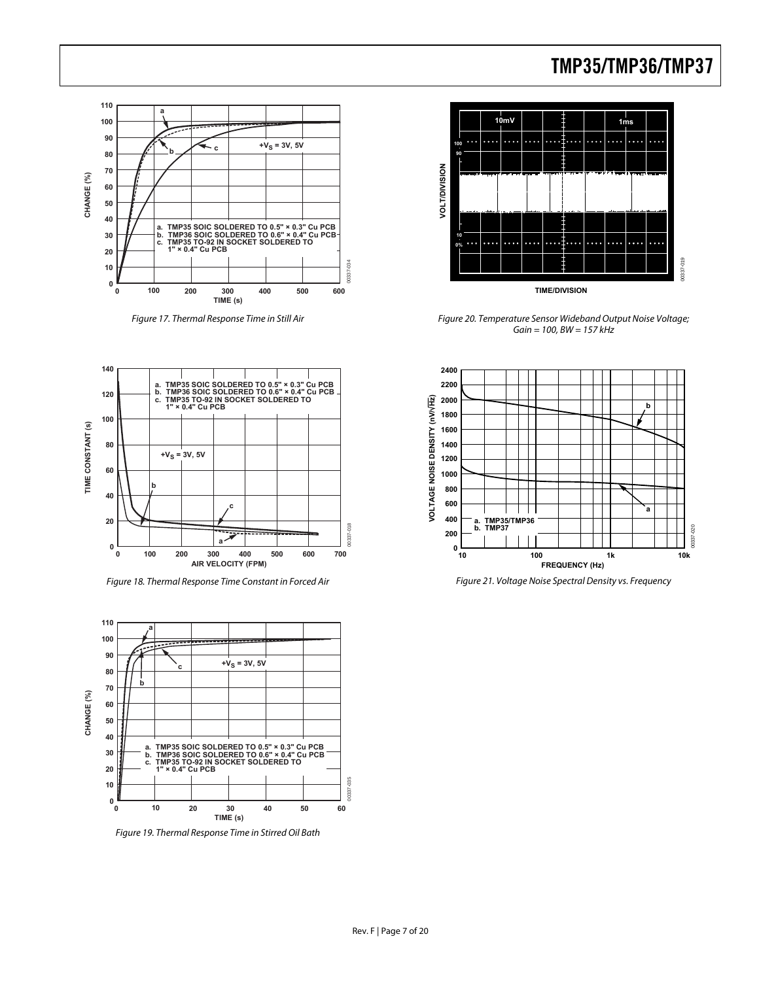

Figure 17. Thermal Response Time in Still Air

<span id="page-6-0"></span>

Figure 18. Thermal Response Time Constant in Forced Air Figure 21. Voltage Noise Spectral Density vs. Frequency



<span id="page-6-1"></span>Figure 19. Thermal Response Time in Stirred Oil Bath



Figure 20. Temperature Sensor Wideband Output Noise Voltage;  $Gain = 100, BW = 157 kHz$ 

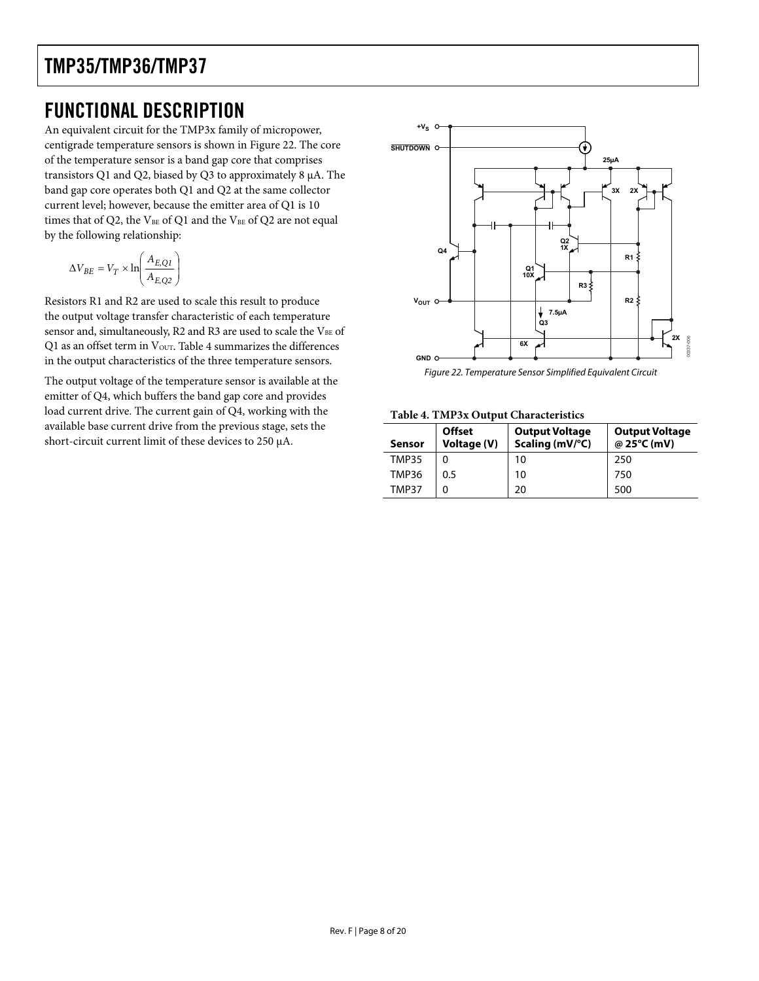### <span id="page-7-0"></span>FUNCTIONAL DESCRIPTION

An equivalent circuit for the TMP3x family of micropower, centigrade temperature sensors is shown in [Figure 22](#page-7-1). The core of the temperature sensor is a band gap core that comprises transistors Q1 and Q2, biased by Q3 to approximately 8 μA. The band gap core operates both Q1 and Q2 at the same collector current level; however, because the emitter area of Q1 is 10 times that of Q2, the V<sub>BE</sub> of Q1 and the V<sub>BE</sub> of Q2 are not equal by the following relationship:

$$
\Delta V_{BE} = V_T \times \ln\left(\frac{A_{E, QI}}{A_{E, Q2}}\right)
$$

Resistors R1 and R2 are used to scale this result to produce the output voltage transfer characteristic of each temperature sensor and, simultaneously, R2 and R3 are used to scale the VBE of Q1 as an offset term in  $V_{\text{OUT}}$ . [Table 4](#page-7-2) summarizes the differences in the output characteristics of the three temperature sensors.

<span id="page-7-2"></span><span id="page-7-1"></span>The output voltage of the temperature sensor is available at the emitter of Q4, which buffers the band gap core and provides load current drive. The current gain of Q4, working with the available base current drive from the previous stage, sets the short-circuit current limit of these devices to 250 μA.



Figure 22. Temperature Sensor Simplified Equivalent Circuit

#### **Table 4. TMP3x Output Characteristics**

| Sensor       | <b>Offset</b><br>Voltage (V) | <b>Output Voltage</b><br>Scaling (mV/°C) | <b>Output Voltage</b><br>@ 25°C (mV) |
|--------------|------------------------------|------------------------------------------|--------------------------------------|
| TMP35        |                              | 10                                       | 250                                  |
| TMP36        | 0.5                          | 10                                       | 750                                  |
| <b>TMP37</b> | 0                            | 20                                       | 500                                  |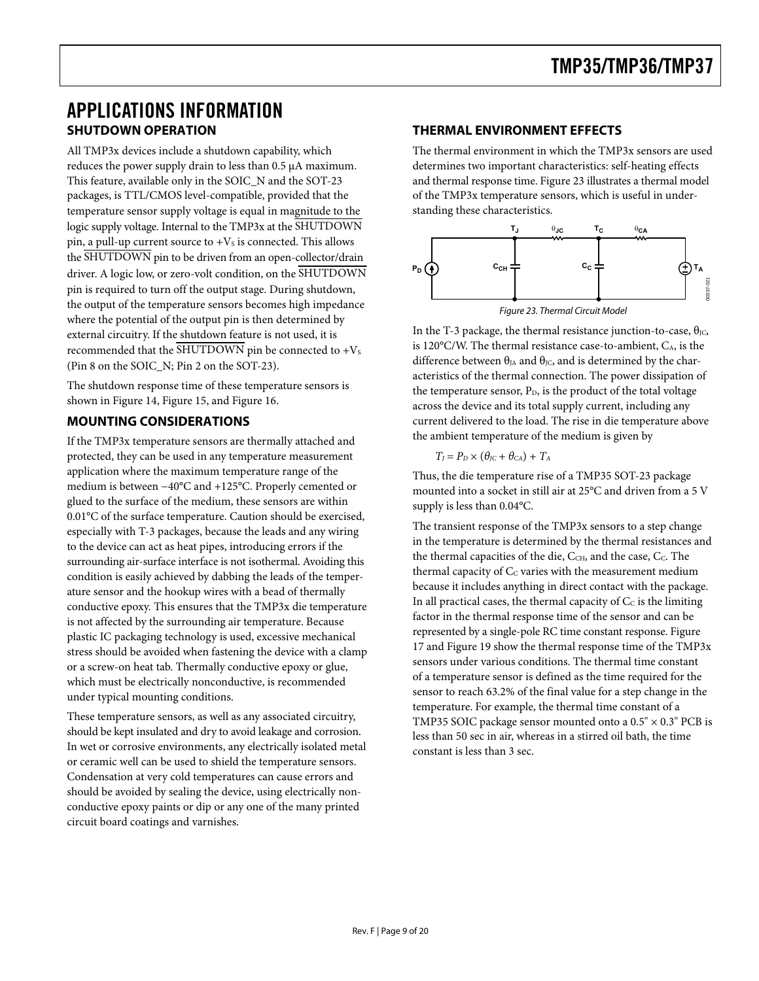### <span id="page-8-0"></span>APPLICATIONS INFORMATION **SHUTDOWN OPERATION**

All TMP3x devices include a shutdown capability, which reduces the power supply drain to less than 0.5 μA maximum. This feature, available only in the SOIC\_N and the SOT-23 packages, is TTL/CMOS level-compatible, provided that the temperature sensor supply voltage is equal in magnitude to the logic supply voltage. Internal to the TMP3x at the SHUTDOWN pin, a pull-up current source to  $+V<sub>S</sub>$  is connected. This allows the SHUTDOWN pin to be driven from an open-collector/drain driver. A logic low, or zero-volt condition, on the SHUTDOWN pin is required to turn off the output stage. During shutdown, the output of the temperature sensors becomes high impedance where the potential of the output pin is then determined by external circuitry. If the shutdown feature is not used, it is recommended that the  $\overline{\text{SHUTDOWN}}$  pin be connected to +V<sub>S</sub> (Pin 8 on the SOIC\_N; Pin 2 on the SOT-23).

<span id="page-8-1"></span>The shutdown response time of these temperature sensors is shown in [Figure 14](#page-5-0), [Figure 15](#page-5-1), and [Figure 16.](#page-5-2)

### **MOUNTING CONSIDERATIONS**

If the TMP3x temperature sensors are thermally attached and protected, they can be used in any temperature measurement application where the maximum temperature range of the medium is between −40°C and +125°C. Properly cemented or glued to the surface of the medium, these sensors are within 0.01°C of the surface temperature. Caution should be exercised, especially with T-3 packages, because the leads and any wiring to the device can act as heat pipes, introducing errors if the surrounding air-surface interface is not isothermal. Avoiding this condition is easily achieved by dabbing the leads of the temperature sensor and the hookup wires with a bead of thermally conductive epoxy. This ensures that the TMP3x die temperature is not affected by the surrounding air temperature. Because plastic IC packaging technology is used, excessive mechanical stress should be avoided when fastening the device with a clamp or a screw-on heat tab. Thermally conductive epoxy or glue, which must be electrically nonconductive, is recommended under typical mounting conditions.

These temperature sensors, as well as any associated circuitry, should be kept insulated and dry to avoid leakage and corrosion. In wet or corrosive environments, any electrically isolated metal or ceramic well can be used to shield the temperature sensors. Condensation at very cold temperatures can cause errors and should be avoided by sealing the device, using electrically nonconductive epoxy paints or dip or any one of the many printed circuit board coatings and varnishes.

### **THERMAL ENVIRONMENT EFFECTS**

The thermal environment in which the TMP3x sensors are used determines two important characteristics: self-heating effects and thermal response time. [Figure 23](#page-8-1) illustrates a thermal model of the TMP3x temperature sensors, which is useful in understanding these characteristics.



In the T-3 package, the thermal resistance junction-to-case,  $\theta_{\text{IC}}$ , is  $120^{\circ}$ C/W. The thermal resistance case-to-ambient,  $C_A$ , is the difference between  $\theta_{JA}$  and  $\theta_{JC}$ , and is determined by the characteristics of the thermal connection. The power dissipation of the temperature sensor,  $P_D$ , is the product of the total voltage across the device and its total supply current, including any current delivered to the load. The rise in die temperature above the ambient temperature of the medium is given by

$$
T_J = P_D \times (\theta_{JC} + \theta_{CA}) + T_A
$$

Thus, the die temperature rise of a TMP35 SOT-23 package mounted into a socket in still air at 25°C and driven from a 5 V supply is less than 0.04°C.

The transient response of the TMP3x sensors to a step change in the temperature is determined by the thermal resistances and the thermal capacities of the die, CCH, and the case, Cc. The thermal capacity of  $C<sub>C</sub>$  varies with the measurement medium because it includes anything in direct contact with the package. In all practical cases, the thermal capacity of  $C<sub>C</sub>$  is the limiting factor in the thermal response time of the sensor and can be represented by a single-pole RC time constant response. [Figure](#page-6-0)  [17](#page-6-0) and [Figure 19](#page-6-1) show the thermal response time of the TMP3x sensors under various conditions. The thermal time constant of a temperature sensor is defined as the time required for the sensor to reach 63.2% of the final value for a step change in the temperature. For example, the thermal time constant of a TMP35 SOIC package sensor mounted onto a  $0.5" \times 0.3"$  PCB is less than 50 sec in air, whereas in a stirred oil bath, the time constant is less than 3 sec.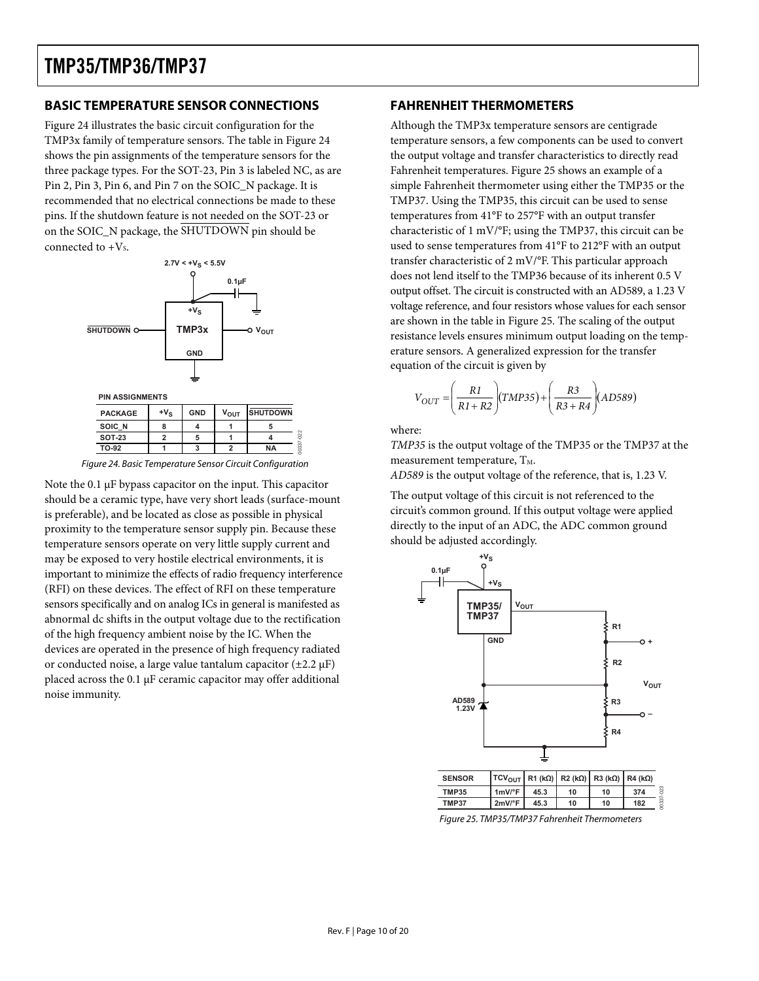### <span id="page-9-0"></span>**BASIC TEMPERATURE SENSOR CONNECTIONS**

[Figure 24](#page-9-1) illustrates the basic circuit configuration for the TMP3x family of temperature sensors. The table in [Figure 24](#page-9-1) shows the pin assignments of the temperature sensors for the three package types. For the SOT-23, Pin 3 is labeled NC, as are Pin 2, Pin 3, Pin 6, and Pin 7 on the SOIC\_N package. It is recommended that no electrical connections be made to these pins. If the shutdown feature is not needed on the SOT-23 or on the SOIC\_N package, the SHUTDOWN pin should be connected to  $+V_s$ .



| <b>PIN ASSIGNMENTS</b> |              |            |                  |                 |    |
|------------------------|--------------|------------|------------------|-----------------|----|
| <b>PACKAGE</b>         | $+V_{\rm S}$ | <b>GND</b> | $V_{\text{OUT}}$ | <b>SHUTDOWN</b> |    |
| SOIC N                 |              |            |                  |                 |    |
| <b>SOT-23</b>          |              | 5          |                  |                 |    |
| TO-92                  |              |            |                  | <b>NA</b>       | ò. |
| - - -<br>. .           |              |            | $ -$             | $\sim$<br>. .   |    |

Figure 24. Basic Temperature Sensor Circuit Configuration

<span id="page-9-2"></span><span id="page-9-1"></span>Note the 0.1 μF bypass capacitor on the input. This capacitor should be a ceramic type, have very short leads (surface-mount is preferable), and be located as close as possible in physical proximity to the temperature sensor supply pin. Because these temperature sensors operate on very little supply current and may be exposed to very hostile electrical environments, it is important to minimize the effects of radio frequency interference (RFI) on these devices. The effect of RFI on these temperature sensors specifically and on analog ICs in general is manifested as abnormal dc shifts in the output voltage due to the rectification of the high frequency ambient noise by the IC. When the devices are operated in the presence of high frequency radiated or conducted noise, a large value tantalum capacitor  $(\pm 2.2 \,\mu\text{F})$ placed across the 0.1 μF ceramic capacitor may offer additional noise immunity.

### **FAHRENHEIT THERMOMETERS**

Although the TMP3x temperature sensors are centigrade temperature sensors, a few components can be used to convert the output voltage and transfer characteristics to directly read Fahrenheit temperatures. [Figure 25](#page-9-2) shows an example of a simple Fahrenheit thermometer using either the TMP35 or the TMP37. Using the TMP35, this circuit can be used to sense temperatures from 41°F to 257°F with an output transfer characteristic of 1 mV/°F; using the TMP37, this circuit can be used to sense temperatures from 41°F to 212°F with an output transfer characteristic of 2 mV/°F. This particular approach does not lend itself to the TMP36 because of its inherent 0.5 V output offset. The circuit is constructed with an AD589, a 1.23 V voltage reference, and four resistors whose values for each sensor are shown in the table in [Figure 25.](#page-9-2) The scaling of the output resistance levels ensures minimum output loading on the temperature sensors. A generalized expression for the transfer equation of the circuit is given by

$$
V_{OUT} = \left(\frac{R1}{R1 + R2}\right)(TMP35) + \left(\frac{R3}{R3 + R4}\right)(AD589)
$$

where:

*TMP35* is the output voltage of the TMP35 or the TMP37 at the measurement temperature,  $T_M$ .

*AD589* is the output voltage of the reference, that is, 1.23 V.

The output voltage of this circuit is not referenced to the circuit's common ground. If this output voltage were applied directly to the input of an ADC, the ADC common ground should be adjusted accordingly.



Figure 25. TMP35/TMP37 Fahrenheit Thermometers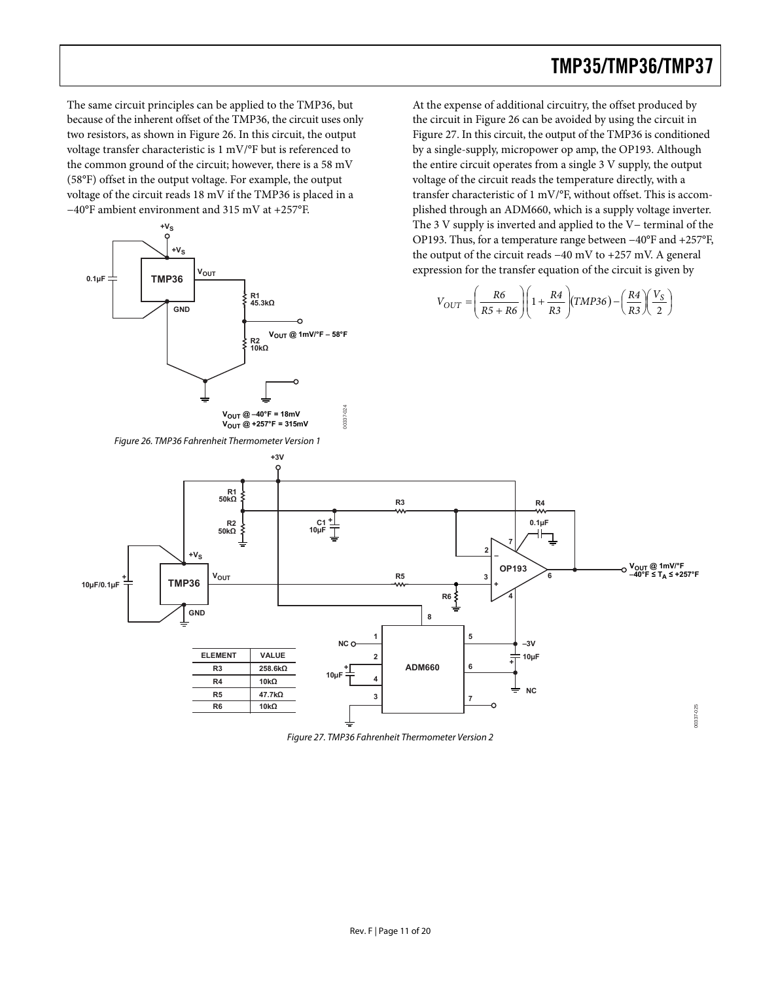The same circuit principles can be applied to the TMP36, but because of the inherent offset of the TMP36, the circuit uses only two resistors, as shown in [Figure 26](#page-10-0). In this circuit, the output voltage transfer characteristic is 1 mV/°F but is referenced to the common ground of the circuit; however, there is a 58 mV (58°F) offset in the output voltage. For example, the output voltage of the circuit reads 18 mV if the TMP36 is placed in a −40°F ambient environment and 315 mV at +257°F.



At the expense of additional circuitry, the offset produced by the circuit in [Figure 26](#page-10-0) can be avoided by using the circuit in [Figure 27](#page-10-1). In this circuit, the output of the TMP36 is conditioned by a single-supply, micropower op amp, the OP193. Although the entire circuit operates from a single 3 V supply, the output voltage of the circuit reads the temperature directly, with a transfer characteristic of 1 mV/°F, without offset. This is accomplished through an ADM660, which is a supply voltage inverter. The 3 V supply is inverted and applied to the V− terminal of the OP193. Thus, for a temperature range between −40°F and +257°F, the output of the circuit reads −40 mV to +257 mV. A general  $v_{\text{out}}$  expression for the transfer equation of the circuit is given by

$$
V_{OUT} = \left(\frac{R6}{R5 + R6}\right)\left(1 + \frac{R4}{R3}\right)\left(TMP36\right) - \left(\frac{R4}{R3}\right)\left(\frac{V_S}{2}\right)
$$

<span id="page-10-0"></span>

<span id="page-10-1"></span>Figure 27. TMP36 Fahrenheit Thermometer Version 2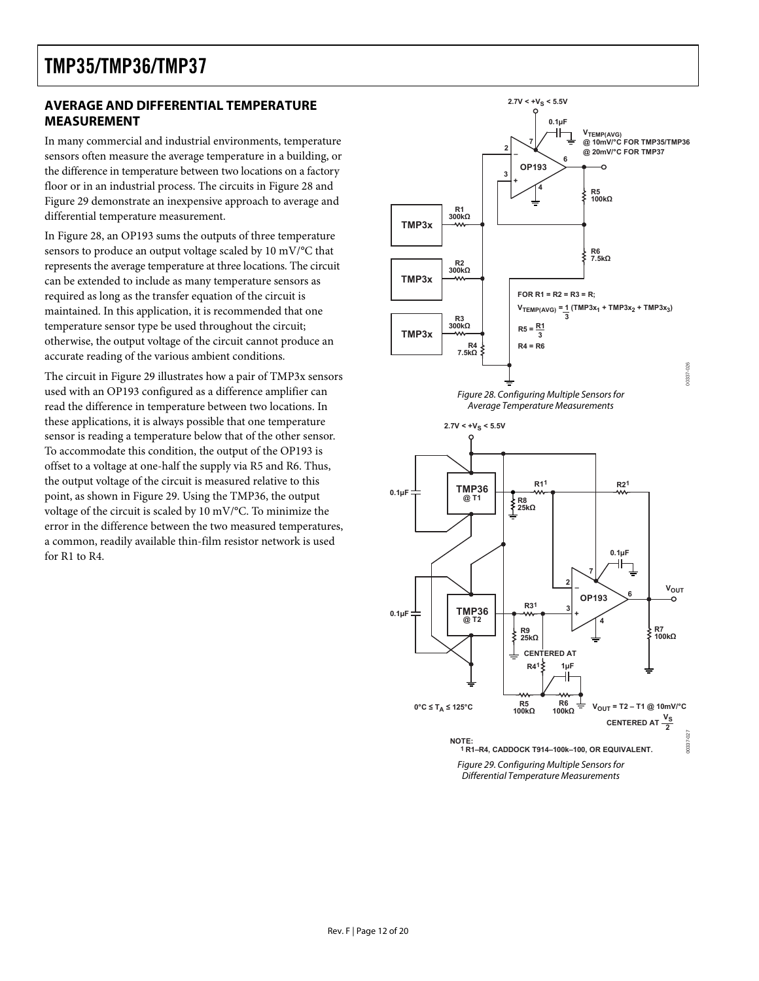### <span id="page-11-0"></span>**AVERAGE AND DIFFERENTIAL TEMPERATURE MEASUREMENT**

In many commercial and industrial environments, temperature sensors often measure the average temperature in a building, or the difference in temperature between two locations on a factory floor or in an industrial process. The circuits in [Figure 28](#page-11-1) and [Figure 29](#page-11-2) demonstrate an inexpensive approach to average and differential temperature measurement.

In [Figure 28](#page-11-1), an OP193 sums the outputs of three temperature sensors to produce an output voltage scaled by 10 mV/°C that represents the average temperature at three locations. The circuit can be extended to include as many temperature sensors as required as long as the transfer equation of the circuit is maintained. In this application, it is recommended that one temperature sensor type be used throughout the circuit; otherwise, the output voltage of the circuit cannot produce an accurate reading of the various ambient conditions.

<span id="page-11-2"></span><span id="page-11-1"></span>The circuit in [Figure 29](#page-11-2) illustrates how a pair of TMP3x sensors used with an OP193 configured as a difference amplifier can read the difference in temperature between two locations. In these applications, it is always possible that one temperature sensor is reading a temperature below that of the other sensor. To accommodate this condition, the output of the OP193 is offset to a voltage at one-half the supply via R5 and R6. Thus, the output voltage of the circuit is measured relative to this point, as shown in [Figure 29.](#page-11-2) Using the TMP36, the output voltage of the circuit is scaled by 10 mV/°C. To minimize the error in the difference between the two measured temperatures, a common, readily available thin-film resistor network is used for R1 to R4.

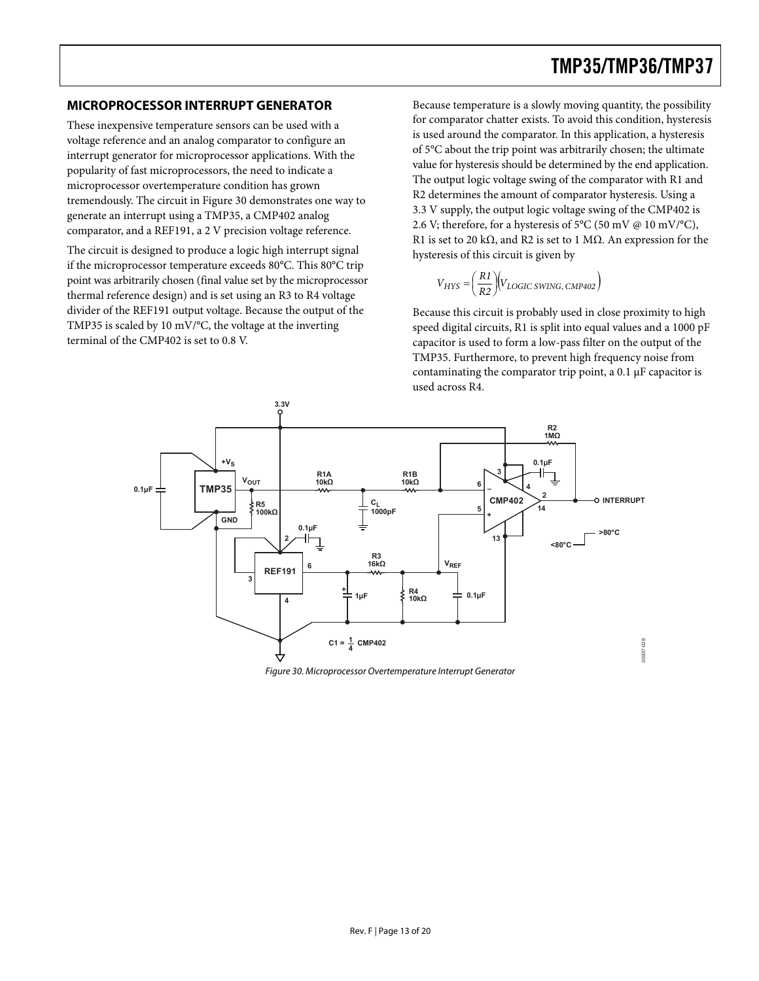These inexpensive temperature sensors can be used with a voltage reference and an analog comparator to configure an interrupt generator for microprocessor applications. With the popularity of fast microprocessors, the need to indicate a microprocessor overtemperature condition has grown tremendously. The circuit in [Figure 30](#page-12-1) demonstrates one way to generate an interrupt using a TMP35, a CMP402 analog comparator, and a REF191, a 2 V precision voltage reference.

The circuit is designed to produce a logic high interrupt signal if the microprocessor temperature exceeds 80°C. This 80°C trip point was arbitrarily chosen (final value set by the microprocessor thermal reference design) and is set using an R3 to R4 voltage divider of the REF191 output voltage. Because the output of the TMP35 is scaled by 10 mV/°C, the voltage at the inverting terminal of the CMP402 is set to 0.8 V.

<span id="page-12-0"></span>**MICROPROCESSOR INTERRUPT GENERATOR** Because temperature is a slowly moving quantity, the possibility for comparator chatter exists. To avoid this condition, hysteresis is used around the comparator. In this application, a hysteresis of 5°C about the trip point was arbitrarily chosen; the ultimate value for hysteresis should be determined by the end application. The output logic voltage swing of the comparator with R1 and R2 determines the amount of comparator hysteresis. Using a 3.3 V supply, the output logic voltage swing of the CMP402 is 2.6 V; therefore, for a hysteresis of 5°C (50 mV  $@$  10 mV/°C), R1 is set to 20 kΩ, and R2 is set to 1 MΩ. An expression for the hysteresis of this circuit is given by

$$
V_{HYS} = \left(\frac{R1}{R2}\right) \left(V_{LOGIC\ SWING,\ CMP402}\right)
$$

Because this circuit is probably used in close proximity to high speed digital circuits, R1 is split into equal values and a 1000 pF capacitor is used to form a low-pass filter on the output of the TMP35. Furthermore, to prevent high frequency noise from contaminating the comparator trip point, a 0.1 μF capacitor is used across R4.



<span id="page-12-1"></span>Figure 30. Microprocessor Overtemperature Interrupt Generator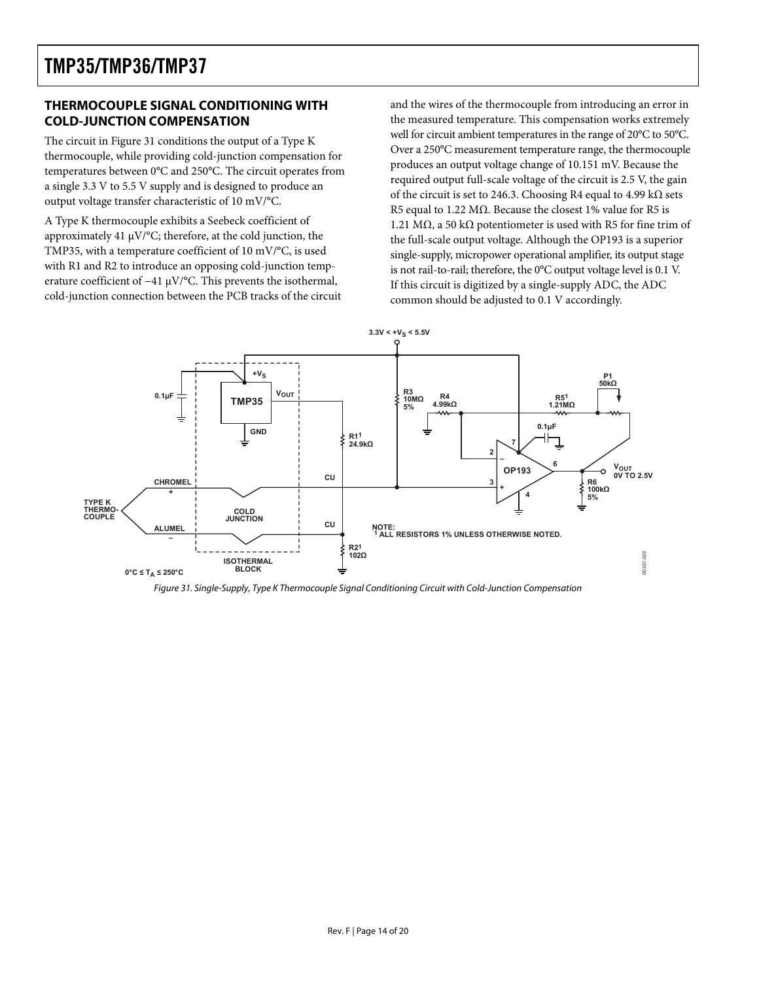### <span id="page-13-0"></span>**THERMOCOUPLE SIGNAL CONDITIONING WITH COLD-JUNCTION COMPENSATION**

The circuit in [Figure 31](#page-13-1) conditions the output of a Type K thermocouple, while providing cold-junction compensation for temperatures between 0°C and 250°C. The circuit operates from a single 3.3 V to 5.5 V supply and is designed to produce an output voltage transfer characteristic of 10 mV/°C.

A Type K thermocouple exhibits a Seebeck coefficient of approximately 41 μV/°C; therefore, at the cold junction, the TMP35, with a temperature coefficient of 10 mV/°C, is used with R1 and R2 to introduce an opposing cold-junction temperature coefficient of −41 μV/°C. This prevents the isothermal, cold-junction connection between the PCB tracks of the circuit and the wires of the thermocouple from introducing an error in the measured temperature. This compensation works extremely well for circuit ambient temperatures in the range of 20°C to 50°C. Over a 250°C measurement temperature range, the thermocouple produces an output voltage change of 10.151 mV. Because the required output full-scale voltage of the circuit is 2.5 V, the gain of the circuit is set to 246.3. Choosing R4 equal to 4.99 kΩ sets R5 equal to 1.22 M $\Omega$ . Because the closest 1% value for R5 is 1.21 MΩ, a 50 kΩ potentiometer is used with R5 for fine trim of the full-scale output voltage. Although the OP193 is a superior single-supply, micropower operational amplifier, its output stage is not rail-to-rail; therefore, the 0°C output voltage level is 0.1 V. If this circuit is digitized by a single-supply ADC, the ADC common should be adjusted to 0.1 V accordingly.



<span id="page-13-1"></span>Figure 31. Single-Supply, Type K Thermocouple Signal Conditioning Circuit with Cold-Junction Compensation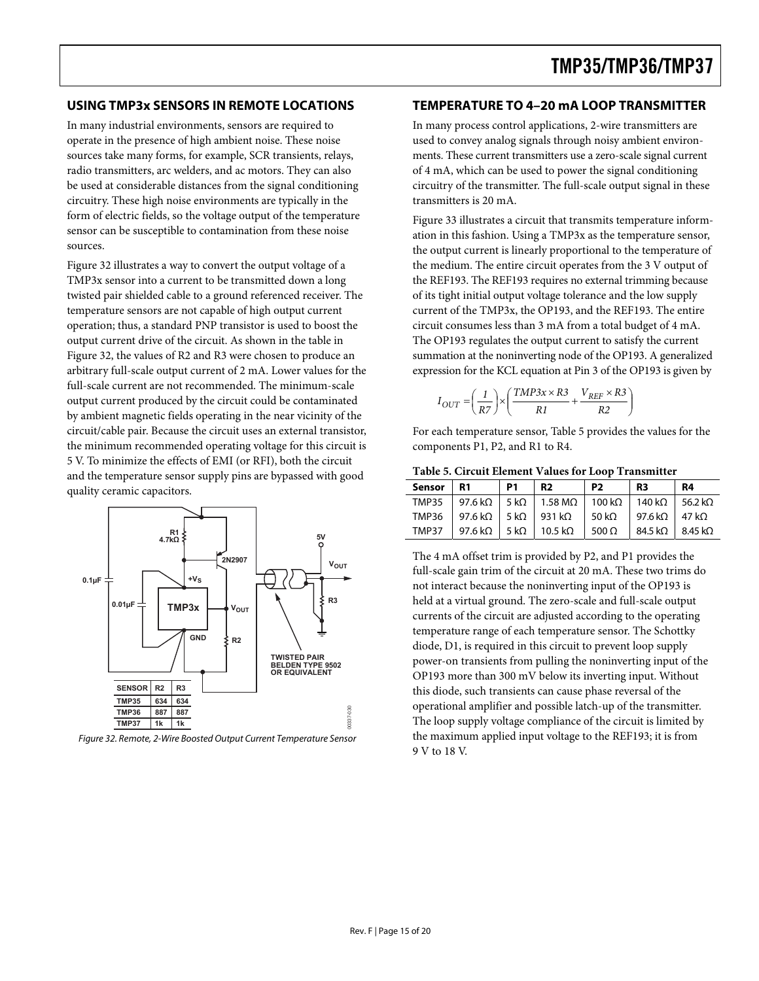#### <span id="page-14-0"></span>**USING TMP3x SENSORS IN REMOTE LOCATIONS**

In many industrial environments, sensors are required to operate in the presence of high ambient noise. These noise sources take many forms, for example, SCR transients, relays, radio transmitters, arc welders, and ac motors. They can also be used at considerable distances from the signal conditioning circuitry. These high noise environments are typically in the form of electric fields, so the voltage output of the temperature sensor can be susceptible to contamination from these noise sources.

[Figure 32](#page-14-1) illustrates a way to convert the output voltage of a TMP3x sensor into a current to be transmitted down a long twisted pair shielded cable to a ground referenced receiver. The temperature sensors are not capable of high output current operation; thus, a standard PNP transistor is used to boost the output current drive of the circuit. As shown in the table in [Figure 32](#page-14-1), the values of R2 and R3 were chosen to produce an arbitrary full-scale output current of 2 mA. Lower values for the full-scale current are not recommended. The minimum-scale output current produced by the circuit could be contaminated by ambient magnetic fields operating in the near vicinity of the circuit/cable pair. Because the circuit uses an external transistor, the minimum recommended operating voltage for this circuit is 5 V. To minimize the effects of EMI (or RFI), both the circuit and the temperature sensor supply pins are bypassed with good quality ceramic capacitors.

<span id="page-14-2"></span>

<span id="page-14-1"></span>Figure 32. Remote, 2-Wire Boosted Output Current Temperature Sensor

#### **TEMPERATURE TO 4–20 mA LOOP TRANSMITTER**

In many process control applications, 2-wire transmitters are used to convey analog signals through noisy ambient environments. These current transmitters use a zero-scale signal current of 4 mA, which can be used to power the signal conditioning circuitry of the transmitter. The full-scale output signal in these transmitters is 20 mA.

[Figure 33](#page-15-1) illustrates a circuit that transmits temperature information in this fashion. Using a TMP3x as the temperature sensor, the output current is linearly proportional to the temperature of the medium. The entire circuit operates from the 3 V output of the REF193. The REF193 requires no external trimming because of its tight initial output voltage tolerance and the low supply current of the TMP3x, the OP193, and the REF193. The entire circuit consumes less than 3 mA from a total budget of 4 mA. The OP193 regulates the output current to satisfy the current summation at the noninverting node of the OP193. A generalized expression for the KCL equation at Pin 3 of the OP193 is given by

$$
I_{OUT} = \left(\frac{1}{R7}\right) \times \left(\frac{TMP3x \times R3}{R1} + \frac{V_{REF} \times R3}{R2}\right)
$$

For each temperature sensor, [Table 5](#page-14-2) provides the values for the components P1, P2, and R1 to R4.

|  | Table 5. Circuit Element Values for Loop Transmitter |  |  |
|--|------------------------------------------------------|--|--|
|  |                                                      |  |  |

| Sensor   R1 | P1 | <b>R2</b>                                                                                                    | P <sub>2</sub> | R <sub>3</sub>  | <b>R4</b> |
|-------------|----|--------------------------------------------------------------------------------------------------------------|----------------|-----------------|-----------|
|             |    | TMP35   97.6 k $\Omega$   5 k $\Omega$   1.58 M $\Omega$   100 k $\Omega$   140 k $\Omega$   56.2 k $\Omega$ |                |                 |           |
|             |    | TMP36   97.6 k $\Omega$   5 k $\Omega$   931 k $\Omega$   50 k $\Omega$   97.6 k $\Omega$   47 k $\Omega$    |                |                 |           |
|             |    | TMP37   97.6 k $\Omega$   5 k $\Omega$   10.5 k $\Omega$   500 $\Omega$                                      |                | 84.5 kΩ 3.45 kΩ |           |

The 4 mA offset trim is provided by P2, and P1 provides the full-scale gain trim of the circuit at 20 mA. These two trims do not interact because the noninverting input of the OP193 is held at a virtual ground. The zero-scale and full-scale output currents of the circuit are adjusted according to the operating temperature range of each temperature sensor. The Schottky diode, D1, is required in this circuit to prevent loop supply power-on transients from pulling the noninverting input of the OP193 more than 300 mV below its inverting input. Without this diode, such transients can cause phase reversal of the operational amplifier and possible latch-up of the transmitter. The loop supply voltage compliance of the circuit is limited by the maximum applied input voltage to the REF193; it is from 9 V to 18 V.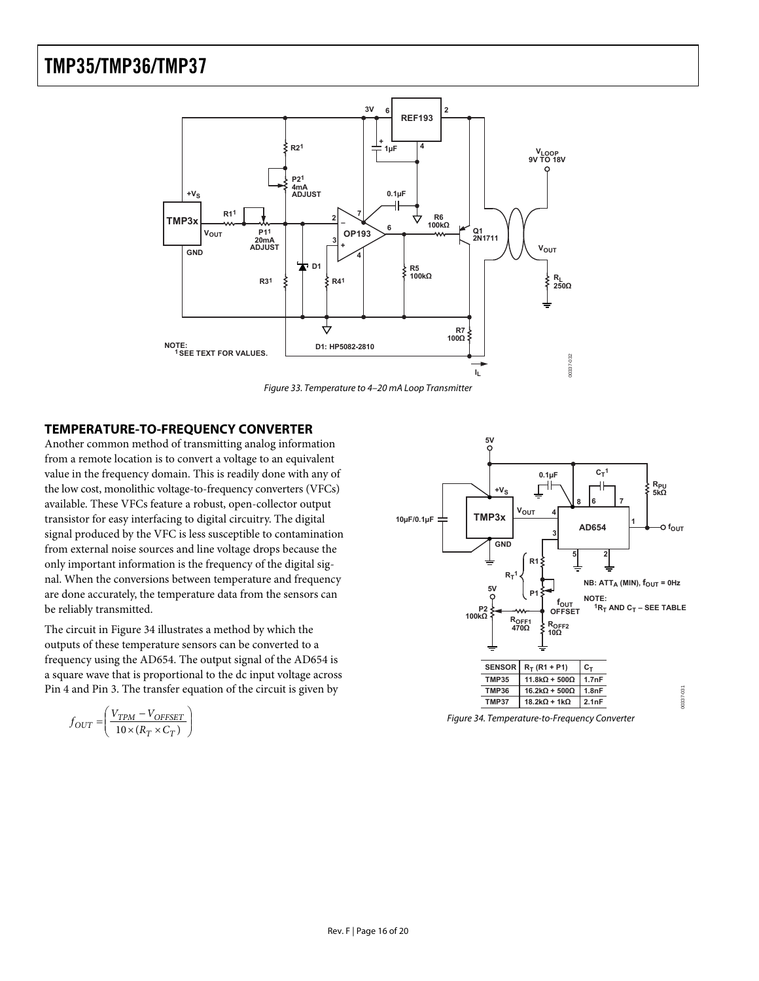<span id="page-15-0"></span>

Figure 33. Temperature to 4–20 mA Loop Transmitter

#### <span id="page-15-1"></span>**TEMPERATURE-TO-FREQUENCY CONVERTER**

Another common method of transmitting analog information from a remote location is to convert a voltage to an equivalent value in the frequency domain. This is readily done with any of the low cost, monolithic voltage-to-frequency converters (VFCs) available. These VFCs feature a robust, open-collector output transistor for easy interfacing to digital circuitry. The digital signal produced by the VFC is less susceptible to contamination from external noise sources and line voltage drops because the only important information is the frequency of the digital signal. When the conversions between temperature and frequency are done accurately, the temperature data from the sensors can be reliably transmitted.

The circuit in [Figure 34](#page-15-2) illustrates a method by which the outputs of these temperature sensors can be converted to a frequency using the AD654. The output signal of the AD654 is a square wave that is proportional to the dc input voltage across Pin 4 and Pin 3. The transfer equation of the circuit is given by

<span id="page-15-2"></span>
$$
f_{OUT} = \left(\frac{V_{TPM} - V_{OFFSET}}{10 \times (R_T \times C_T)}\right)
$$



Figure 34. Temperature-to-Frequency Converter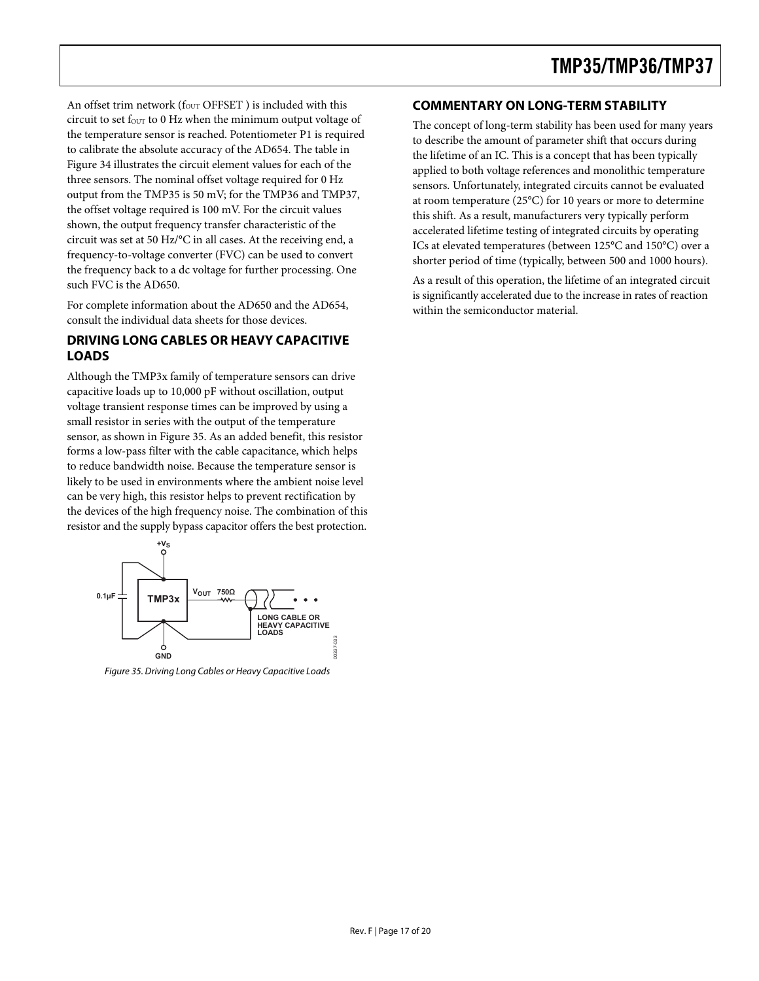<span id="page-16-0"></span>An offset trim network ( $f_{\text{OUT}}$  OFFSET) is included with this circuit to set four to 0 Hz when the minimum output voltage of the temperature sensor is reached. Potentiometer P1 is required to calibrate the absolute accuracy of the AD654. The table in [Figure 34](#page-15-2) illustrates the circuit element values for each of the three sensors. The nominal offset voltage required for 0 Hz output from the TMP35 is 50 mV; for the TMP36 and TMP37, the offset voltage required is 100 mV. For the circuit values shown, the output frequency transfer characteristic of the circuit was set at 50 Hz/°C in all cases. At the receiving end, a frequency-to-voltage converter (FVC) can be used to convert the frequency back to a dc voltage for further processing. One such FVC is the AD650.

For complete information about the AD650 and the AD654, consult the individual data sheets for those devices.

### **DRIVING LONG CABLES OR HEAVY CAPACITIVE LOADS**

Although the TMP3x family of temperature sensors can drive capacitive loads up to 10,000 pF without oscillation, output voltage transient response times can be improved by using a small resistor in series with the output of the temperature sensor, as shown in [Figure 35](#page-16-1). As an added benefit, this resistor forms a low-pass filter with the cable capacitance, which helps to reduce bandwidth noise. Because the temperature sensor is likely to be used in environments where the ambient noise level can be very high, this resistor helps to prevent rectification by the devices of the high frequency noise. The combination of this resistor and the supply bypass capacitor offers the best protection.



<span id="page-16-1"></span>Figure 35. Driving Long Cables or Heavy Capacitive Loads

### **COMMENTARY ON LONG-TERM STABILITY**

The concept of long-term stability has been used for many years to describe the amount of parameter shift that occurs during the lifetime of an IC. This is a concept that has been typically applied to both voltage references and monolithic temperature sensors. Unfortunately, integrated circuits cannot be evaluated at room temperature (25°C) for 10 years or more to determine this shift. As a result, manufacturers very typically perform accelerated lifetime testing of integrated circuits by operating ICs at elevated temperatures (between 125°C and 150°C) over a shorter period of time (typically, between 500 and 1000 hours).

As a result of this operation, the lifetime of an integrated circuit is significantly accelerated due to the increase in rates of reaction within the semiconductor material.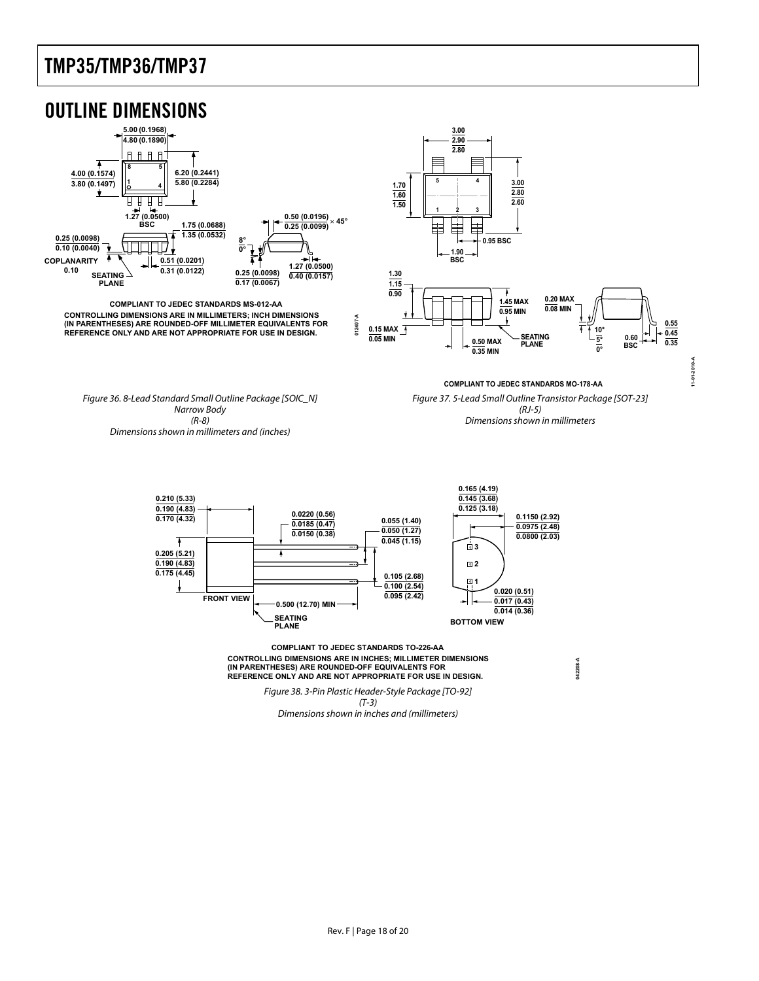<span id="page-17-0"></span>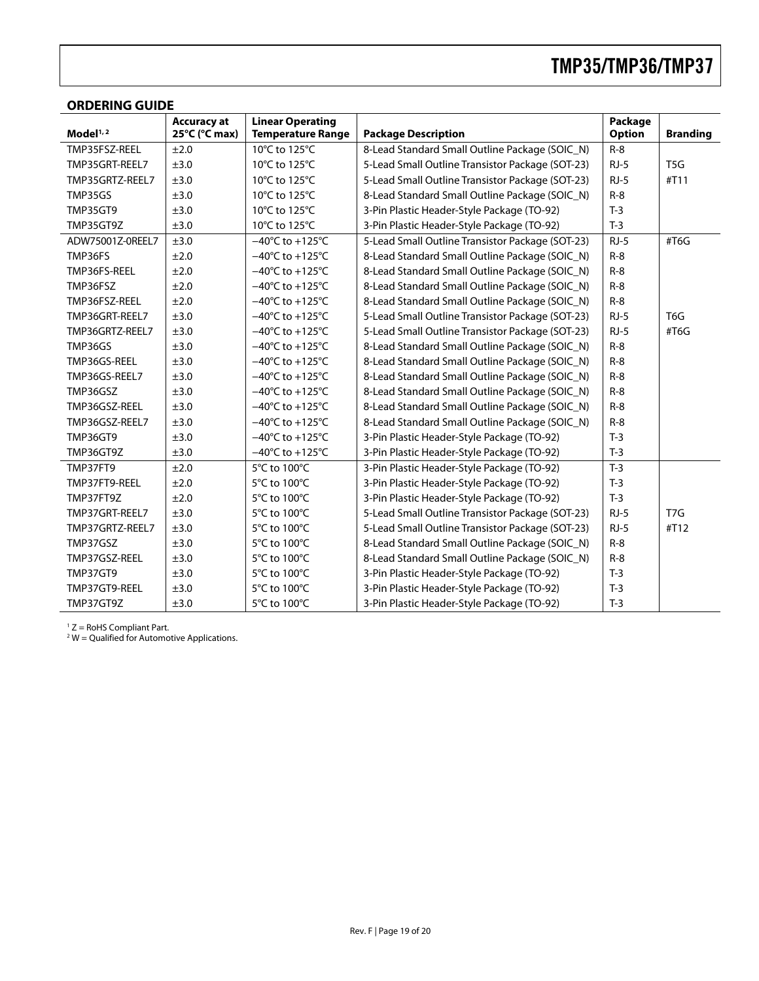### <span id="page-18-0"></span>**ORDERING GUIDE**

|                  | <b>Accuracy at</b> | <b>Linear Operating</b>              |                                                  | Package       |                  |
|------------------|--------------------|--------------------------------------|--------------------------------------------------|---------------|------------------|
| Model $1, 2$     | 25°C (°C max)      | <b>Temperature Range</b>             | <b>Package Description</b>                       | <b>Option</b> | <b>Branding</b>  |
| TMP35FSZ-REEL    | ±2.0               | 10°C to 125°C                        | 8-Lead Standard Small Outline Package (SOIC_N)   | $R-8$         |                  |
| TMP35GRT-REEL7   | ±3.0               | 10°C to 125°C                        | 5-Lead Small Outline Transistor Package (SOT-23) | $RJ-5$        | T <sub>5</sub> G |
| TMP35GRTZ-REEL7  | ±3.0               | 10°C to 125°C                        | 5-Lead Small Outline Transistor Package (SOT-23) | $RJ-5$        | #T11             |
| TMP35GS          | ±3.0               | 10°C to 125°C                        | 8-Lead Standard Small Outline Package (SOIC_N)   | $R-8$         |                  |
| <b>TMP35GT9</b>  | ±3.0               | 10°C to 125°C                        | 3-Pin Plastic Header-Style Package (TO-92)       | $T-3$         |                  |
| TMP35GT9Z        | ±3.0               | 10°C to 125°C                        | 3-Pin Plastic Header-Style Package (TO-92)       | $T-3$         |                  |
| ADW75001Z-0REEL7 | ±3.0               | $-40^{\circ}$ C to $+125^{\circ}$ C  | 5-Lead Small Outline Transistor Package (SOT-23) | $RJ-5$        | #T6G             |
| TMP36FS          | ±2.0               | $-40^{\circ}$ C to +125 $^{\circ}$ C | 8-Lead Standard Small Outline Package (SOIC_N)   | $R-8$         |                  |
| TMP36FS-REEL     | ±2.0               | $-40^{\circ}$ C to +125 $^{\circ}$ C | 8-Lead Standard Small Outline Package (SOIC_N)   | $R-8$         |                  |
| TMP36FSZ         | ±2.0               | $-40^{\circ}$ C to +125 $^{\circ}$ C | 8-Lead Standard Small Outline Package (SOIC_N)   | $R-8$         |                  |
| TMP36FSZ-REEL    | ±2.0               | $-40^{\circ}$ C to +125 $^{\circ}$ C | 8-Lead Standard Small Outline Package (SOIC_N)   | $R-8$         |                  |
| TMP36GRT-REEL7   | ±3.0               | $-40^{\circ}$ C to $+125^{\circ}$ C  | 5-Lead Small Outline Transistor Package (SOT-23) | $RJ-5$        | T <sub>6</sub> G |
| TMP36GRTZ-REEL7  | ±3.0               | $-40^{\circ}$ C to +125 $^{\circ}$ C | 5-Lead Small Outline Transistor Package (SOT-23) | $RJ-5$        | #T6G             |
| TMP36GS          | ±3.0               | $-40^{\circ}$ C to +125 $^{\circ}$ C | 8-Lead Standard Small Outline Package (SOIC_N)   | $R-8$         |                  |
| TMP36GS-REEL     | ±3.0               | $-40^{\circ}$ C to $+125^{\circ}$ C  | 8-Lead Standard Small Outline Package (SOIC_N)   | $R-8$         |                  |
| TMP36GS-REEL7    | ±3.0               | $-40^{\circ}$ C to $+125^{\circ}$ C  | 8-Lead Standard Small Outline Package (SOIC_N)   | $R-8$         |                  |
| TMP36GSZ         | ±3.0               | $-40^{\circ}$ C to $+125^{\circ}$ C  | 8-Lead Standard Small Outline Package (SOIC_N)   | $R-8$         |                  |
| TMP36GSZ-REEL    | ±3.0               | $-40^{\circ}$ C to $+125^{\circ}$ C  | 8-Lead Standard Small Outline Package (SOIC_N)   | $R-8$         |                  |
| TMP36GSZ-REEL7   | ±3.0               | $-40^{\circ}$ C to $+125^{\circ}$ C  | 8-Lead Standard Small Outline Package (SOIC_N)   | $R-8$         |                  |
| <b>TMP36GT9</b>  | ±3.0               | $-40^{\circ}$ C to +125 $^{\circ}$ C | 3-Pin Plastic Header-Style Package (TO-92)       | $T-3$         |                  |
| TMP36GT9Z        | ±3.0               | $-40^{\circ}$ C to $+125^{\circ}$ C  | 3-Pin Plastic Header-Style Package (TO-92)       | $T-3$         |                  |
| TMP37FT9         | ±2.0               | 5°C to 100°C                         | 3-Pin Plastic Header-Style Package (TO-92)       | $T-3$         |                  |
| TMP37FT9-REEL    | ±2.0               | 5°C to 100°C                         | 3-Pin Plastic Header-Style Package (TO-92)       | $T-3$         |                  |
| TMP37FT9Z        | ±2.0               | 5°C to 100°C                         | 3-Pin Plastic Header-Style Package (TO-92)       | $T-3$         |                  |
| TMP37GRT-REEL7   | ±3.0               | 5°C to 100°C                         | 5-Lead Small Outline Transistor Package (SOT-23) | $RJ-5$        | T <sub>7</sub> G |
| TMP37GRTZ-REEL7  | ±3.0               | 5°C to 100°C                         | 5-Lead Small Outline Transistor Package (SOT-23) | $RJ-5$        | #T12             |
| TMP37GSZ         | ±3.0               | 5°C to 100°C                         | 8-Lead Standard Small Outline Package (SOIC_N)   | $R-8$         |                  |
| TMP37GSZ-REEL    | ±3.0               | 5°C to 100°C                         | 8-Lead Standard Small Outline Package (SOIC_N)   | $R-8$         |                  |
| <b>TMP37GT9</b>  | ±3.0               | 5°C to 100°C                         | 3-Pin Plastic Header-Style Package (TO-92)       | $T-3$         |                  |
| TMP37GT9-REEL    | ±3.0               | 5°C to 100°C                         | 3-Pin Plastic Header-Style Package (TO-92)       | $T-3$         |                  |
| TMP37GT9Z        | ±3.0               | 5°C to 100°C                         | 3-Pin Plastic Header-Style Package (TO-92)       | $T-3$         |                  |

<sup>1</sup> Z = RoHS Compliant Part.<br><sup>2</sup> W = Qualified for Automotive Applications.